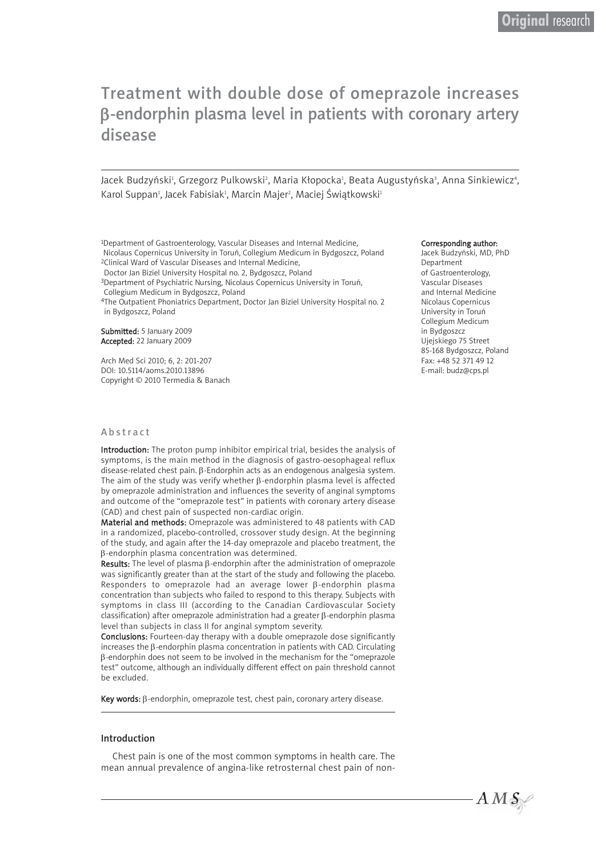# Treatment with double dose of omeprazole increases β-endorphin plasma level in patients with coronary artery disease

Jacek Budzyński<sup>1</sup>, Grzegorz Pulkowski<sup>2</sup>, Maria Kłopocka<sup>1</sup>, Beata Augustyńska<sup>3</sup>, Anna Sinkiewicz<sup>4</sup>, Karol Suppan<sup>ı</sup>, Jacek Fabisiak<sup>ı</sup>, Marcin Majer<sup>2</sup>, Maciej Świątkowski<del>'</del>

1Department of Gastroenterology, Vascular Diseases and Internal Medicine, Nicolaus Copernicus University in Toruń, Collegium Medicum in Bydgoszcz, Poland 2Clinical Ward of Vascular Diseases and Internal Medicine,

Doctor Jan Biziel University Hospital no. 2, Bydgoszcz, Poland

3Department of Psychiatric Nursing, Nicolaus Copernicus University in Toruń, Collegium Medicum in Bydgoszcz, Poland

4The Outpatient Phoniatrics Department, Doctor Jan Biziel University Hospital no. 2 in Bydgoszcz, Poland

Submitted: 5 January 2009 Accepted: 22 January 2009

Arch Med Sci 2010; 6, 2: 201-207 DOI: 10.5114/aoms.2010.13896 Copyright © 2010 Termedia & Banach

#### Abstract

Introduction: The proton pump inhibitor empirical trial, besides the analysis of symptoms, is the main method in the diagnosis of gastro-oesophageal reflux disease-related chest pain. β-Endorphin acts as an endogenous analgesia system. The aim of the study was verify whether β-endorphin plasma level is affected by omeprazole administration and influences the severity of anginal symptoms and outcome of the "omeprazole test" in patients with coronary artery disease (CAD) and chest pain of suspected non-cardiac origin.

Material and methods: Omeprazole was administered to 48 patients with CAD in a randomized, placebo-controlled, crossover study design. At the beginning of the study, and again after the 14-day omeprazole and placebo treatment, the β-endorphin plasma concentration was determined.

Results: The level of plasma β-endorphin after the administration of omeprazole was significantly greater than at the start of the study and following the placebo. Responders to omeprazole had an average lower β-endorphin plasma concentration than subjects who failed to respond to this therapy. Subjects with symptoms in class III (according to the Canadian Cardiovascular Society classification) after omeprazole administration had a greater β-endorphin plasma level than subjects in class II for anginal symptom severity.

Conclusions: Fourteen-day therapy with a double omeprazole dose significantly increases the β-endorphin plasma concentration in patients with CAD. Circulating β-endorphin does not seem to be involved in the mechanism for the "omeprazole test" outcome, although an individually different effect on pain threshold cannot be excluded.

Key words: β-endorphin, omeprazole test, chest pain, coronary artery disease.

## Introduction

Chest pain is one of the most common symptoms in health care. The mean annual prevalence of angina-like retrosternal chest pain of non-

#### Corresponding author:

Jacek Budzyński, MD, PhD Department of Gastroenterology, Vascular Diseases and Internal Medicine Nicolaus Copernicus University in Toruń Collegium Medicum in Bydgoszcz Ujejskiego 75 Street 85-168 Bydgoszcz, Poland Fax: +48 52 371 49 12 E-mail: budz@cps.pl

 $AMS$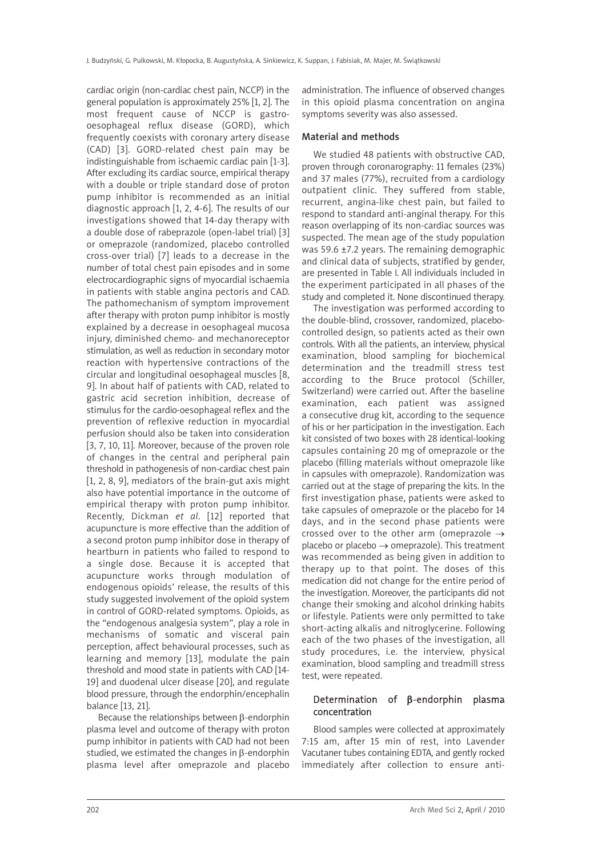cardiac origin (non-cardiac chest pain, NCCP) in the general population is approximately 25% [1, 2]. The most frequent cause of NCCP is gastrooesophageal reflux disease (GORD), which frequently coexists with coronary artery disease (CAD) [3]. GORD-related chest pain may be indistinguishable from ischaemic cardiac pain [1-3]. After excluding its cardiac source, empirical therapy with a double or triple standard dose of proton pump inhibitor is recommended as an initial diagnostic approach [1, 2, 4-6]. The results of our investigations showed that 14-day therapy with a double dose of rabeprazole (open-label trial) [3] or omeprazole (randomized, placebo controlled cross-over trial) [7] leads to a decrease in the number of total chest pain episodes and in some electrocardiographic signs of myocardial ischaemia in patients with stable angina pectoris and CAD. The pathomechanism of symptom improvement after therapy with proton pump inhibitor is mostly explained by a decrease in oesophageal mucosa injury, diminished chemo- and mechanoreceptor stimulation, as well as reduction in secondary motor reaction with hypertensive contractions of the circular and longitudinal oesophageal muscles [8, 9]. In about half of patients with CAD, related to gastric acid secretion inhibition, decrease of stimulus for the cardio-oesophageal reflex and the prevention of reflexive reduction in myocardial perfusion should also be taken into consideration [3, 7, 10, 11]. Moreover, because of the proven role of changes in the central and peripheral pain threshold in pathogenesis of non-cardiac chest pain [1, 2, 8, 9], mediators of the brain-gut axis might also have potential importance in the outcome of empirical therapy with proton pump inhibitor. Recently, Dickman *et al*. [12] reported that acupuncture is more effective than the addition of a second proton pump inhibitor dose in therapy of heartburn in patients who failed to respond to a single dose. Because it is accepted that acupuncture works through modulation of endogenous opioids' release, the results of this study suggested involvement of the opioid system in control of GORD-related symptoms. Opioids, as the "endogenous analgesia system", play a role in mechanisms of somatic and visceral pain perception, affect behavioural processes, such as learning and memory [13], modulate the pain threshold and mood state in patients with CAD [14- 19] and duodenal ulcer disease [20], and regulate blood pressure, through the endorphin/encephalin balance [13, 21].

Because the relationships between β-endorphin plasma level and outcome of therapy with proton pump inhibitor in patients with CAD had not been studied, we estimated the changes in β-endorphin plasma level after omeprazole and placebo

administration. The influence of observed changes in this opioid plasma concentration on angina symptoms severity was also assessed.

## Material and methods

We studied 48 patients with obstructive CAD, proven through coronarography: 11 females (23%) and 37 males (77%), recruited from a cardiology outpatient clinic. They suffered from stable, recurrent, angina-like chest pain, but failed to respond to standard anti-anginal therapy. For this reason overlapping of its non-cardiac sources was suspected. The mean age of the study population was 59.6 ±7.2 years. The remaining demographic and clinical data of subjects, stratified by gender, are presented in Table I. All individuals included in the experiment participated in all phases of the study and completed it. None discontinued therapy.

The investigation was performed according to the double-blind, crossover, randomized, placebocontrolled design, so patients acted as their own controls. With all the patients, an interview, physical examination, blood sampling for biochemical determination and the treadmill stress test according to the Bruce protocol (Schiller, Switzerland) were carried out. After the baseline examination, each patient was assigned a consecutive drug kit, according to the sequence of his or her participation in the investigation. Each kit consisted of two boxes with 28 identical-looking capsules containing 20 mg of omeprazole or the placebo (filling materials without omeprazole like in capsules with omeprazole). Randomization was carried out at the stage of preparing the kits. In the first investigation phase, patients were asked to take capsules of omeprazole or the placebo for 14 days, and in the second phase patients were crossed over to the other arm (omeprazole  $\rightarrow$ placebo or placebo  $\rightarrow$  omeprazole). This treatment was recommended as being given in addition to therapy up to that point. The doses of this medication did not change for the entire period of the investigation. Moreover, the participants did not change their smoking and alcohol drinking habits or lifestyle. Patients were only permitted to take short-acting alkalis and nitroglycerine. Following each of the two phases of the investigation, all study procedures, i.e. the interview, physical examination, blood sampling and treadmill stress test, were repeated.

# Determination of β-endorphin plasma concentration

Blood samples were collected at approximately 7:15 am, after 15 min of rest, into Lavender Vacutaner tubes containing EDTA, and gently rocked immediately after collection to ensure anti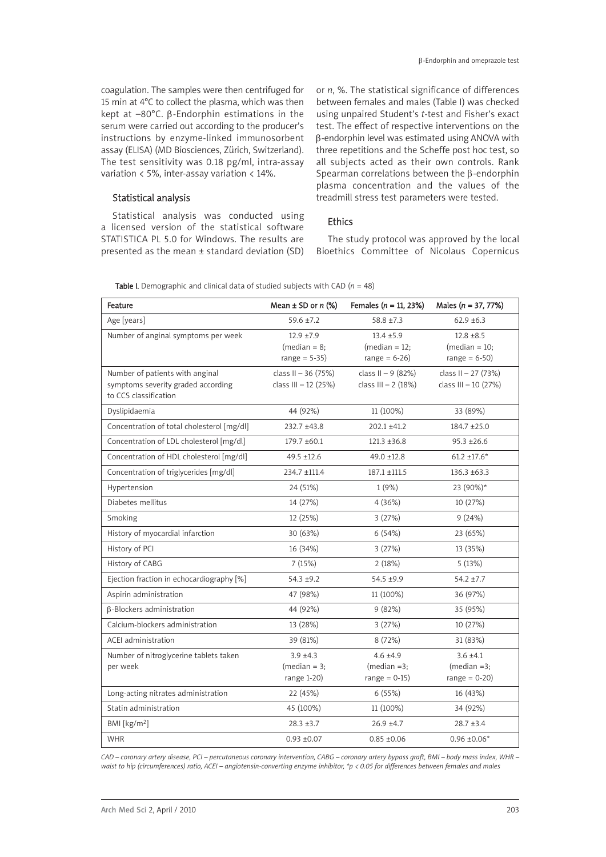coagulation. The samples were then centrifuged for 15 min at 4°C to collect the plasma, which was then kept at –80°C. β-Endorphin estimations in the serum were carried out according to the producer's instructions by enzyme-linked immunosorbent assay (ELISA) (MD Biosciences, Zürich, Switzerland). The test sensitivity was 0.18 pg/ml, intra-assay variation < 5%, inter-assay variation < 14%.

## Statistical analysis

Statistical analysis was conducted using a licensed version of the statistical software STATISTICA PL 5.0 for Windows. The results are presented as the mean ± standard deviation (SD)

or *n*, %. The statistical significance of differences between females and males (Table I) was checked using unpaired Student's *t*-test and Fisher's exact test. The effect of respective interventions on the β-endorphin level was estimated using ANOVA with three repetitions and the Scheffe post hoc test, so all subjects acted as their own controls. Rank Spearman correlations between the β-endorphin plasma concentration and the values of the treadmill stress test parameters were tested.

## Ethics

The study protocol was approved by the local Bioethics Committee of Nicolaus Copernicus

|  | Table I. Demographic and clinical data of studied subjects with CAD $(n = 48)$ |
|--|--------------------------------------------------------------------------------|
|  |                                                                                |

| Feature                                                                                        | Mean $\pm$ SD or n (%)                             | Females ( $n = 11, 23\%)$                           | Males $(n = 37, 77%)$                                 |
|------------------------------------------------------------------------------------------------|----------------------------------------------------|-----------------------------------------------------|-------------------------------------------------------|
| Age [years]                                                                                    | $59.6 \pm 7.2$                                     | $58.8 \pm 7.3$                                      | $62.9 \pm 6.3$                                        |
| Number of anginal symptoms per week                                                            | $12.9 + 7.9$<br>$(median = 8;$<br>range = $5-35$ ) | $13.4 + 5.9$<br>$(median = 12;$<br>range = $6-26$ ) | $12.8 \pm 8.5$<br>$(median = 10;$<br>range = $6-50$ ) |
| Number of patients with anginal<br>symptoms severity graded according<br>to CCS classification | class II - 36 (75%)<br>class III - 12 (25%)        | class II - 9 (82%)<br>class III - 2 (18%)           | class II - 27 (73%)<br>class III - 10 (27%)           |
| Dyslipidaemia                                                                                  | 44 (92%)                                           | 11 (100%)                                           | 33 (89%)                                              |
| Concentration of total cholesterol [mg/dl]                                                     | 232.7 ±43.8                                        | $202.1 \pm 41.2$                                    | 184.7 ±25.0                                           |
| Concentration of LDL cholesterol [mg/dl]                                                       | 179.7 ±60.1                                        | $121.3 \pm 36.8$                                    | $95.3 \pm 26.6$                                       |
| Concentration of HDL cholesterol [mg/dl]                                                       | 49.5 ±12.6                                         | 49.0 ±12.8                                          | $61.2 \pm 17.6*$                                      |
| Concentration of triglycerides [mg/dl]                                                         | 234.7 ±111.4                                       | 187.1 ±111.5                                        | 136.3 ±63.3                                           |
| Hypertension                                                                                   | 24 (51%)                                           | 1(9%)                                               | 23 (90%)*                                             |
| Diabetes mellitus                                                                              | 14 (27%)                                           | 4(36%)                                              | 10 (27%)                                              |
| Smoking                                                                                        | 12 (25%)                                           | 3(27%)                                              | 9(24%)                                                |
| History of myocardial infarction                                                               | 30 (63%)                                           | 6(54%)                                              | 23 (65%)                                              |
| History of PCI                                                                                 | 16 (34%)                                           | 3(27%)                                              | 13 (35%)                                              |
| History of CABG                                                                                | 7(15%)                                             | 2(18%)                                              | 5(13%)                                                |
| Ejection fraction in echocardiography [%]                                                      | $54.3 + 9.2$                                       | 54.5 ±9.9                                           | $54.2 + 7.7$                                          |
| Aspirin administration                                                                         | 47 (98%)                                           | 11 (100%)                                           | 36 (97%)                                              |
| <b>B-Blockers administration</b>                                                               | 44 (92%)                                           | 9(82%)                                              | 35 (95%)                                              |
| Calcium-blockers administration                                                                | 13 (28%)                                           | 3(27%)                                              | 10 (27%)                                              |
| ACEI administration                                                                            | 39 (81%)                                           | 8 (72%)                                             | 31 (83%)                                              |
| Number of nitroglycerine tablets taken<br>per week                                             | $3.9 + 4.3$<br>$(median = 3;$<br>range 1-20)       | $4.6 \pm 4.9$<br>$(median = 3;$<br>range = $0-15$ ) | $3.6 \pm 4.1$<br>$(median = 3;$<br>range = $0-20$ )   |
| Long-acting nitrates administration                                                            | 22 (45%)                                           | 6(55%)                                              | 16 (43%)                                              |
| Statin administration                                                                          | 45 (100%)                                          | 11 (100%)                                           | 34 (92%)                                              |
| BMI [kg/m <sup>2</sup> ]                                                                       | $28.3 + 3.7$                                       | $26.9 + 4.7$                                        | $28.7 + 3.4$                                          |
| <b>WHR</b>                                                                                     | $0.93 + 0.07$                                      | $0.85 \pm 0.06$                                     | $0.96 \pm 0.06*$                                      |

*CAD – coronary artery disease, PCI – percutaneous coronary intervention, CABG – coronary artery bypass graft, BMI – body mass index, WHR – waist to hip (circumferences) ratio, ACEI – angiotensin-converting enzyme inhibitor, \*p < 0.05 for differences between females and males*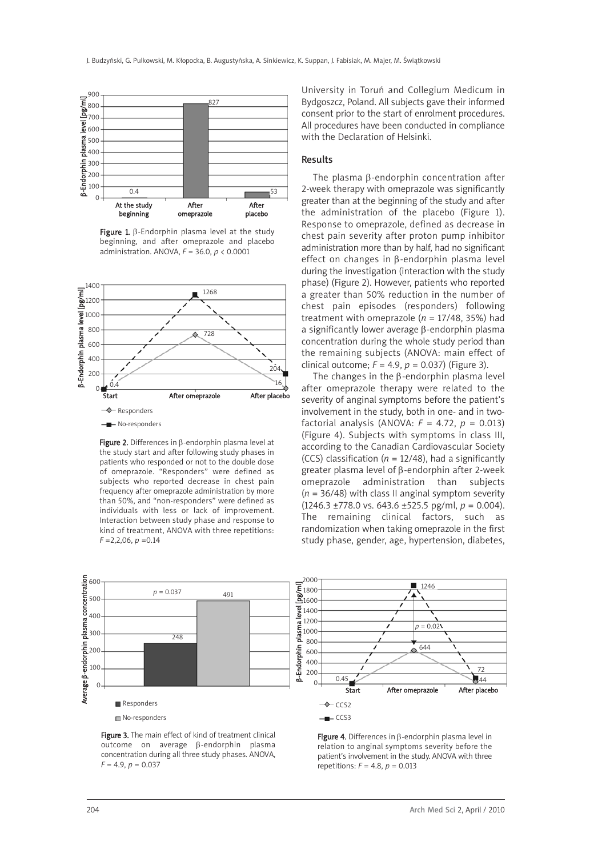

Figure 1. β-Endorphin plasma level at the study beginning, and after omeprazole and placebo administration. ANOVA, *F* = 36.0, *p* < 0.0001



Figure 2. Differences in β-endorphin plasma level at the study start and after following study phases in patients who responded or not to the double dose of omeprazole. "Responders" were defined as subjects who reported decrease in chest pain frequency after omeprazole administration by more than 50%, and "non-responders" were defined as individuals with less or lack of improvement. Interaction between study phase and response to kind of treatment, ANOVA with three repetitions: *F* =2,2,06, *p* =0.14

University in Toruń and Collegium Medicum in Bydgoszcz, Poland. All subjects gave their informed consent prior to the start of enrolment procedures. All procedures have been conducted in compliance with the Declaration of Helsinki.

#### Results

The plasma β-endorphin concentration after 2-week therapy with omeprazole was significantly greater than at the beginning of the study and after the administration of the placebo (Figure 1). Response to omeprazole, defined as decrease in chest pain severity after proton pump inhibitor administration more than by half, had no significant effect on changes in β-endorphin plasma level during the investigation (interaction with the study phase) (Figure 2). However, patients who reported a greater than 50% reduction in the number of chest pain episodes (responders) following treatment with omeprazole (*n* = 17/48, 35%) had a significantly lower average β-endorphin plasma concentration during the whole study period than the remaining subjects (ANOVA: main effect of clinical outcome;  $F = 4.9$ ,  $p = 0.037$ ) (Figure 3).

The changes in the β-endorphin plasma level after omeprazole therapy were related to the severity of anginal symptoms before the patient's involvement in the study, both in one- and in twofactorial analysis (ANOVA:  $F = 4.72$ ,  $p = 0.013$ ) (Figure 4). Subjects with symptoms in class III, according to the Canadian Cardiovascular Society (CCS) classification ( $n = 12/48$ ), had a significantly greater plasma level of β-endorphin after 2-week omeprazole administration than subjects (*n* = 36/48) with class II anginal symptom severity (1246.3 ±778.0 vs. 643.6 ±525.5 pg/ml, *p* = 0.004). The remaining clinical factors, such as randomization when taking omeprazole in the first study phase, gender, age, hypertension, diabetes,



Figure 3. The main effect of kind of treatment clinical outcome on average β-endorphin plasma concentration during all three study phases. ANOVA, *F* = 4.9, *p* = 0.037

Figure 4. Differences in β-endorphin plasma level in relation to anginal symptoms severity before the patient's involvement in the study. ANOVA with three repetitions: *F* = 4.8, *p* = 0.013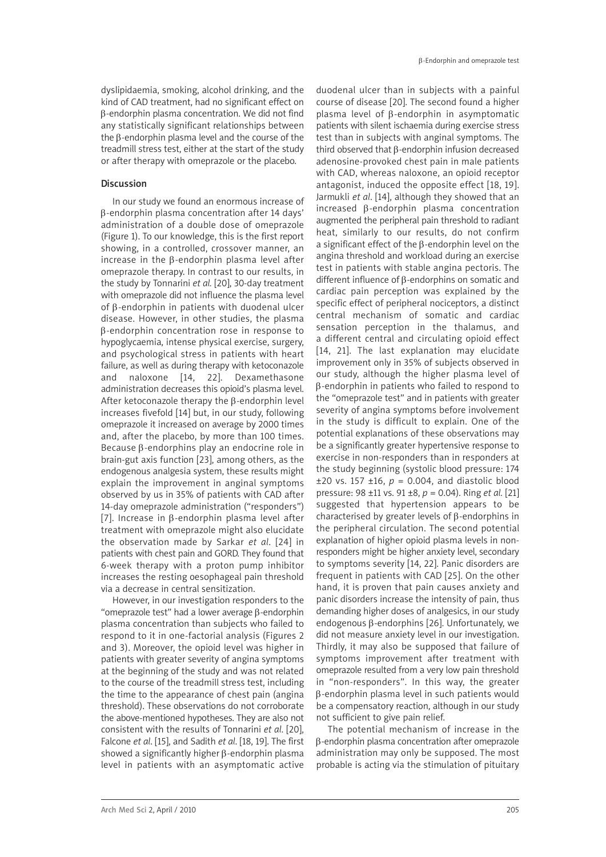dyslipidaemia, smoking, alcohol drinking, and the kind of CAD treatment, had no significant effect on β-endorphin plasma concentration. We did not find any statistically significant relationships between the β-endorphin plasma level and the course of the treadmill stress test, either at the start of the study or after therapy with omeprazole or the placebo.

## Discussion

In our study we found an enormous increase of β-endorphin plasma concentration after 14 days' administration of a double dose of omeprazole (Figure 1). To our knowledge, this is the first report showing, in a controlled, crossover manner, an increase in the β-endorphin plasma level after omeprazole therapy. In contrast to our results, in the study by Tonnarini *et al.* [20], 30-day treatment with omeprazole did not influence the plasma level of β-endorphin in patients with duodenal ulcer disease. However, in other studies, the plasma β-endorphin concentration rose in response to hypoglycaemia, intense physical exercise, surgery, and psychological stress in patients with heart failure, as well as during therapy with ketoconazole and naloxone [14, 22]. Dexamethasone administration decreases this opioid's plasma level. After ketoconazole therapy the β-endorphin level increases fivefold [14] but, in our study, following omeprazole it increased on average by 2000 times and, after the placebo, by more than 100 times. Because β-endorphins play an endocrine role in brain-gut axis function [23], among others, as the endogenous analgesia system, these results might explain the improvement in anginal symptoms observed by us in 35% of patients with CAD after 14-day omeprazole administration ("responders") [7]. Increase in β-endorphin plasma level after treatment with omeprazole might also elucidate the observation made by Sarkar *et al*. [24] in patients with chest pain and GORD. They found that 6-week therapy with a proton pump inhibitor increases the resting oesophageal pain threshold via a decrease in central sensitization.

However, in our investigation responders to the "omeprazole test" had a lower average β-endorphin plasma concentration than subjects who failed to respond to it in one-factorial analysis (Figures 2 and 3). Moreover, the opioid level was higher in patients with greater severity of angina symptoms at the beginning of the study and was not related to the course of the treadmill stress test, including the time to the appearance of chest pain (angina threshold). These observations do not corroborate the above-mentioned hypotheses. They are also not consistent with the results of Tonnarini *et al*. [20], Falcone *et al*. [15], and Sadith *et al*. [18, 19]. The first showed a significantly higher β-endorphin plasma level in patients with an asymptomatic active duodenal ulcer than in subjects with a painful course of disease [20]. The second found a higher plasma level of β-endorphin in asymptomatic patients with silent ischaemia during exercise stress test than in subjects with anginal symptoms. The third observed that β-endorphin infusion decreased adenosine-provoked chest pain in male patients with CAD, whereas naloxone, an opioid receptor antagonist, induced the opposite effect [18, 19]. Jarmukli *et al*. [14], although they showed that an increased β-endorphin plasma concentration augmented the peripheral pain threshold to radiant heat, similarly to our results, do not confirm a significant effect of the β-endorphin level on the angina threshold and workload during an exercise test in patients with stable angina pectoris. The different influence of β-endorphins on somatic and cardiac pain perception was explained by the specific effect of peripheral nociceptors, a distinct central mechanism of somatic and cardiac sensation perception in the thalamus, and a different central and circulating opioid effect [14, 21]. The last explanation may elucidate improvement only in 35% of subjects observed in our study, although the higher plasma level of β-endorphin in patients who failed to respond to the "omeprazole test" and in patients with greater severity of angina symptoms before involvement in the study is difficult to explain. One of the potential explanations of these observations may be a significantly greater hypertensive response to exercise in non-responders than in responders at the study beginning (systolic blood pressure: 174  $\pm$ 20 vs. 157  $\pm$ 16,  $p = 0.004$ , and diastolic blood pressure: 98 ±11 vs. 91 ±8, *p* = 0.04). Ring *et al.* [21] suggested that hypertension appears to be characterised by greater levels of β-endorphins in the peripheral circulation. The second potential explanation of higher opioid plasma levels in nonresponders might be higher anxiety level, secondary to symptoms severity [14, 22]. Panic disorders are frequent in patients with CAD [25]. On the other hand, it is proven that pain causes anxiety and panic disorders increase the intensity of pain, thus demanding higher doses of analgesics, in our study endogenous β-endorphins [26]. Unfortunately, we did not measure anxiety level in our investigation. Thirdly, it may also be supposed that failure of symptoms improvement after treatment with omeprazole resulted from a very low pain threshold in "non-responders". In this way, the greater β-endorphin plasma level in such patients would be a compensatory reaction, although in our study not sufficient to give pain relief.

The potential mechanism of increase in the β-endorphin plasma concentration after omeprazole administration may only be supposed. The most probable is acting via the stimulation of pituitary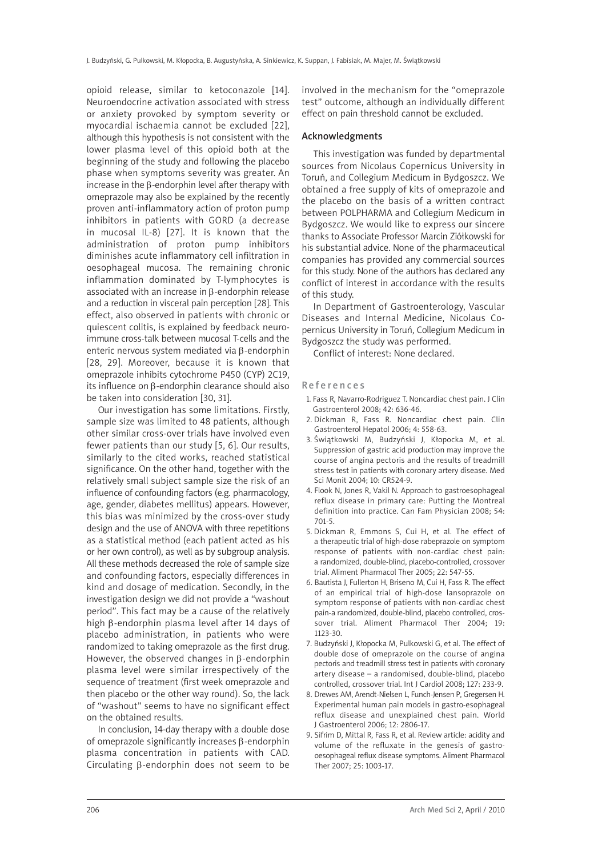opioid release, similar to ketoconazole [14]. Neuroendocrine activation associated with stress or anxiety provoked by symptom severity or myocardial ischaemia cannot be excluded [22], although this hypothesis is not consistent with the lower plasma level of this opioid both at the beginning of the study and following the placebo phase when symptoms severity was greater. An increase in the β-endorphin level after therapy with omeprazole may also be explained by the recently proven anti-inflammatory action of proton pump inhibitors in patients with GORD (a decrease in mucosal IL-8) [27]. It is known that the administration of proton pump inhibitors diminishes acute inflammatory cell infiltration in oesophageal mucosa. The remaining chronic inflammation dominated by T-lymphocytes is associated with an increase in β-endorphin release and a reduction in visceral pain perception [28]. This effect, also observed in patients with chronic or quiescent colitis, is explained by feedback neuroimmune cross-talk between mucosal T-cells and the enteric nervous system mediated via β-endorphin [28, 29]. Moreover, because it is known that omeprazole inhibits cytochrome P450 (CYP) 2C19, its influence on β-endorphin clearance should also be taken into consideration [30, 31].

Our investigation has some limitations. Firstly, sample size was limited to 48 patients, although other similar cross-over trials have involved even fewer patients than our study [5, 6]. Our results, similarly to the cited works, reached statistical significance. On the other hand, together with the relatively small subject sample size the risk of an influence of confounding factors (e.g. pharmacology, age, gender, diabetes mellitus) appears. However, this bias was minimized by the cross-over study design and the use of ANOVA with three repetitions as a statistical method (each patient acted as his or her own control), as well as by subgroup analysis. All these methods decreased the role of sample size and confounding factors, especially differences in kind and dosage of medication. Secondly, in the investigation design we did not provide a "washout period". This fact may be a cause of the relatively high β-endorphin plasma level after 14 days of placebo administration, in patients who were randomized to taking omeprazole as the first drug. However, the observed changes in β-endorphin plasma level were similar irrespectively of the sequence of treatment (first week omeprazole and then placebo or the other way round). So, the lack of "washout" seems to have no significant effect on the obtained results.

In conclusion, 14-day therapy with a double dose of omeprazole significantly increases β-endorphin plasma concentration in patients with CAD. Circulating β-endorphin does not seem to be

involved in the mechanism for the "omeprazole test" outcome, although an individually different effect on pain threshold cannot be excluded.

#### Acknowledgments

This investigation was funded by departmental sources from Nicolaus Copernicus University in Toruń, and Collegium Medicum in Bydgoszcz. We obtained a free supply of kits of omeprazole and the placebo on the basis of a written contract between POLPHARMA and Collegium Medicum in Bydgoszcz. We would like to express our sincere thanks to Associate Professor Marcin Ziółkowski for his substantial advice. None of the pharmaceutical companies has provided any commercial sources for this study. None of the authors has declared any conflict of interest in accordance with the results of this study.

In Department of Gastroenterology, Vascular Diseases and Internal Medicine, Nicolaus Copernicus University in Toruń, Collegium Medicum in Bydgoszcz the study was performed.

Conflict of interest: None declared.

### References

- 1. Fass R, Navarro-Rodriguez T. Noncardiac chest pain. J Clin Gastroenterol 2008; 42: 636-46.
- 2. Dickman R, Fass R. Noncardiac chest pain. Clin Gastroenterol Hepatol 2006; 4: 558-63.
- 3. Świątkowski M, Budzyński J, Kłopocka M, et al. Suppression of gastric acid production may improve the course of angina pectoris and the results of treadmill stress test in patients with coronary artery disease. Med Sci Monit 2004; 10: CR524-9.
- 4. Flook N, Jones R, Vakil N. Approach to gastroesophageal reflux disease in primary care: Putting the Montreal definition into practice. Can Fam Physician 2008; 54: 701-5.
- 5. Dickman R, Emmons S, Cui H, et al. The effect of a therapeutic trial of high-dose rabeprazole on symptom response of patients with non-cardiac chest pain: a randomized, double-blind, placebo-controlled, crossover trial. Aliment Pharmacol Ther 2005; 22: 547-55.
- 6. Bautista J, Fullerton H, Briseno M, Cui H, Fass R. The effect of an empirical trial of high-dose lansoprazole on symptom response of patients with non-cardiac chest pain-a randomized, double-blind, placebo controlled, crossover trial. Aliment Pharmacol Ther 2004; 19: 1123-30.
- 7. Budzyński J, Kłopocka M, Pulkowski G, et al. The effect of double dose of omeprazole on the course of angina pectoris and treadmill stress test in patients with coronary artery disease – a randomised, double-blind, placebo controlled, crossover trial. Int J Cardiol 2008; 127: 233-9.
- 8. Drewes AM, Arendt-Nielsen L, Funch-Jensen P, Gregersen H. Experimental human pain models in gastro-esophageal reflux disease and unexplained chest pain. World J Gastroenterol 2006; 12: 2806-17.
- 9. Sifrim D, Mittal R, Fass R, et al. Review article: acidity and volume of the refluxate in the genesis of gastrooesophageal reflux disease symptoms. Aliment Pharmacol Ther 2007; 25: 1003-17.